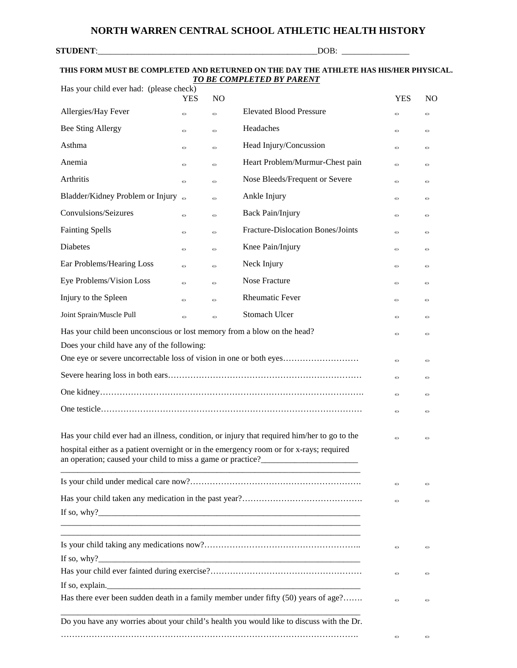## **STUDENT**:\_\_\_\_\_\_\_\_\_\_\_\_\_\_\_\_\_\_\_\_\_\_\_\_\_\_\_\_\_\_\_\_\_\_\_\_\_\_\_\_\_\_\_\_\_\_\_\_\_\_\_\_DOB: \_\_\_\_\_\_\_\_\_\_\_\_\_\_\_\_

## **THIS FORM MUST BE COMPLETED AND RETURNED ON THE DAY THE ATHLETE HAS HIS/HER PHYSICAL.** *TO BE COMPLETED BY PARENT*

| Has your child ever had: (please check)                                                                                                                                                                                                                                                                                  | <b>YES</b> | N <sub>O</sub> |                                                                                          | <b>YES</b>                                 | N <sub>O</sub>                    |
|--------------------------------------------------------------------------------------------------------------------------------------------------------------------------------------------------------------------------------------------------------------------------------------------------------------------------|------------|----------------|------------------------------------------------------------------------------------------|--------------------------------------------|-----------------------------------|
| Allergies/Hay Fever                                                                                                                                                                                                                                                                                                      | $\odot$    | $\odot$        | <b>Elevated Blood Pressure</b>                                                           | $\odot$                                    | $\odot$                           |
| <b>Bee Sting Allergy</b>                                                                                                                                                                                                                                                                                                 | $\odot$    | $\odot$        | Headaches                                                                                | $\boldsymbol{\odot}$                       | $\odot$                           |
| Asthma                                                                                                                                                                                                                                                                                                                   | $\odot$    | $\odot$        | Head Injury/Concussion                                                                   | $\odot$                                    | $_{\odot}$                        |
| Anemia                                                                                                                                                                                                                                                                                                                   | $\odot$    | $\odot$        | Heart Problem/Murmur-Chest pain                                                          | $\odot$                                    | $\odot$                           |
| Arthritis                                                                                                                                                                                                                                                                                                                | $\odot$    | $\odot$        | Nose Bleeds/Frequent or Severe                                                           | $_{\tiny \textcircled{\tiny{1}}}\,$        | $\odot$                           |
| Bladder/Kidney Problem or Injury                                                                                                                                                                                                                                                                                         |            | $\odot$        | Ankle Injury                                                                             | $\odot$                                    | $_{\tiny \odot}$                  |
| Convulsions/Seizures                                                                                                                                                                                                                                                                                                     | $\odot$    | $\odot$        | <b>Back Pain/Injury</b>                                                                  | $_{\tiny \textcircled{\tiny{1}}}\nonumber$ | $\odot$                           |
| <b>Fainting Spells</b>                                                                                                                                                                                                                                                                                                   | $\odot$    | $\odot$        | Fracture-Dislocation Bones/Joints                                                        | $\odot$                                    | $\odot$                           |
| Diabetes                                                                                                                                                                                                                                                                                                                 | $\odot$    | $\odot$        | Knee Pain/Injury                                                                         | $\odot$                                    | $\odot$                           |
| Ear Problems/Hearing Loss                                                                                                                                                                                                                                                                                                | $\odot$    | $\odot$        | Neck Injury                                                                              | $_{\odot}$                                 | $_{\tiny \textcircled{\tiny{L}}}$ |
| Eye Problems/Vision Loss                                                                                                                                                                                                                                                                                                 | $\odot$    | $\odot$        | Nose Fracture                                                                            | $\odot$                                    | $_{\tiny \textcircled{\tiny{L}}}$ |
| Injury to the Spleen                                                                                                                                                                                                                                                                                                     | $\odot$    | $\odot$        | <b>Rheumatic Fever</b>                                                                   | $\boldsymbol{\odot}$                       | $\odot$                           |
| Joint Sprain/Muscle Pull                                                                                                                                                                                                                                                                                                 | $\odot$    | $\odot$        | Stomach Ulcer                                                                            | $\odot$                                    | $_{\odot}$                        |
| Has your child been unconscious or lost memory from a blow on the head?                                                                                                                                                                                                                                                  |            |                |                                                                                          | $\odot$                                    | $\odot$                           |
| Does your child have any of the following:                                                                                                                                                                                                                                                                               |            |                |                                                                                          |                                            |                                   |
|                                                                                                                                                                                                                                                                                                                          |            |                |                                                                                          | $\boldsymbol{\odot}$                       | $_{\odot}$                        |
|                                                                                                                                                                                                                                                                                                                          |            |                |                                                                                          | $_{\odot}$                                 | $_{\odot}$                        |
|                                                                                                                                                                                                                                                                                                                          |            |                |                                                                                          | $_{\tiny \textcircled{\tiny 2}}$           | $_{\odot}$                        |
|                                                                                                                                                                                                                                                                                                                          |            |                |                                                                                          | $\odot$                                    | $\odot$                           |
|                                                                                                                                                                                                                                                                                                                          |            |                |                                                                                          |                                            |                                   |
| Has your child ever had an illness, condition, or injury that required him/her to go to the<br>$\odot$<br>hospital either as a patient overnight or in the emergency room or for x-rays; required                                                                                                                        |            |                |                                                                                          |                                            | $\odot$                           |
| an operation; caused your child to miss a game or practice?                                                                                                                                                                                                                                                              |            |                |                                                                                          |                                            |                                   |
|                                                                                                                                                                                                                                                                                                                          |            |                |                                                                                          | $\odot$                                    | $\odot$                           |
|                                                                                                                                                                                                                                                                                                                          |            |                |                                                                                          | $\odot$                                    | $\odot$                           |
|                                                                                                                                                                                                                                                                                                                          |            |                |                                                                                          |                                            |                                   |
|                                                                                                                                                                                                                                                                                                                          |            |                |                                                                                          |                                            |                                   |
|                                                                                                                                                                                                                                                                                                                          |            |                |                                                                                          | $\odot$                                    | $\left($ E)                       |
|                                                                                                                                                                                                                                                                                                                          |            |                |                                                                                          |                                            |                                   |
|                                                                                                                                                                                                                                                                                                                          |            |                |                                                                                          | $\odot$                                    | $\left($ E)                       |
| If so, explain. $\sqrt{ }$ = $\sqrt{ }$ = $\sqrt{ }$ = $\sqrt{ }$ = $\sqrt{ }$ = $\sqrt{ }$ = $\sqrt{ }$ = $\sqrt{ }$ = $\sqrt{ }$ = $\sqrt{ }$ = $\sqrt{ }$ = $\sqrt{ }$ = $\sqrt{ }$ = $\sqrt{ }$ = $\sqrt{ }$ = $\sqrt{ }$ = $\sqrt{ }$ = $\sqrt{ }$ = $\sqrt{ }$ = $\sqrt{ }$ = $\sqrt{ }$ = $\sqrt{ }$ = $\sqrt{ }$ |            |                | Has there ever been sudden death in a family member under fifty (50) years of age?       |                                            |                                   |
|                                                                                                                                                                                                                                                                                                                          |            |                |                                                                                          | $\odot$                                    | $\bigoplus$                       |
|                                                                                                                                                                                                                                                                                                                          |            |                | Do you have any worries about your child's health you would like to discuss with the Dr. |                                            |                                   |
|                                                                                                                                                                                                                                                                                                                          |            |                |                                                                                          | $\odot$                                    | $\bigcirc$                        |